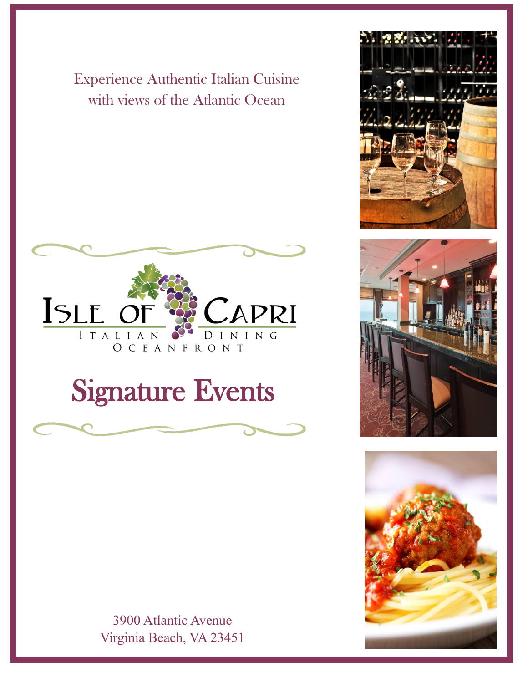Experience Authentic Italian Cuisine with views of the Atlantic Ocean



# Signature Events



3900 Atlantic Avenue Virginia Beach, VA 23451





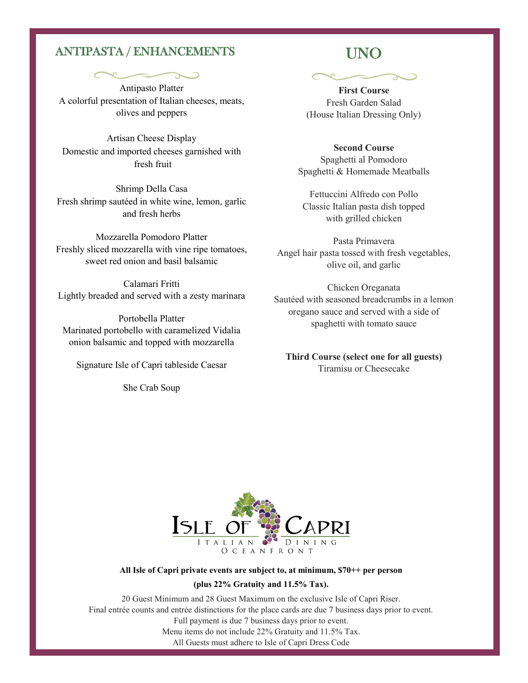### ANTIPASTA / ENHANCEMENTS

Antipasto Platter A colorful presentation of Italian cheeses, meats, olives and peppers

Artisan Cheese Display Domestic and imported cheeses garnished with fresh fruit

Shrimp Della Casa Fresh shrimp sautéed in white wine, lemon, garlic and fresh herbs

Mozzarella Pomodoro Platter Freshly sliced mozzarella with vine ripe tomatoes, sweet red onion and basil balsamic

Calamari Fritti Lightly breaded and served with a zesty marinara

Portobella Platter Marinated portobello with caramelized Vidalia onion balsamic and topped with mozzarella

Signature Isle of Capri tableside Caesar

She Crab Soup

## UNO

**First Course** Fresh Garden Salad (House Italian Dressing Only)

**Second Course** Spaghetti al Pomodoro Spaghetti & Homemade Meatballs

Fettuccini Alfredo con Pollo Classic Italian pasta dish topped with grilled chicken

Pasta Primavera Angel hair pasta tossed with fresh vegetables, olive oil, and garlic

Chicken Oreganata Sautéed with seasoned breadcrumbs in a lemon oregano sauce and served with a side of spaghetti with tomato sauce

**Third Course (select one for all guests)** Tiramisu or Cheesecake



#### **All Isle of Capri private events are subject to, at minimum, \$70++ per person**

#### **(plus 22% Gratuity and 11.5% Tax).**

20 Guest Minimum and 28 Guest Maximum on the exclusive Isle of Capri Riser. Final entrée counts and entrée distinctions for the place cards are due 7 business days prior to event. Full payment is due 7 business days prior to event. Menu items do not include 22% Gratuity and 11.5% Tax. All Guests must adhere to Isle of Capri Dress Code